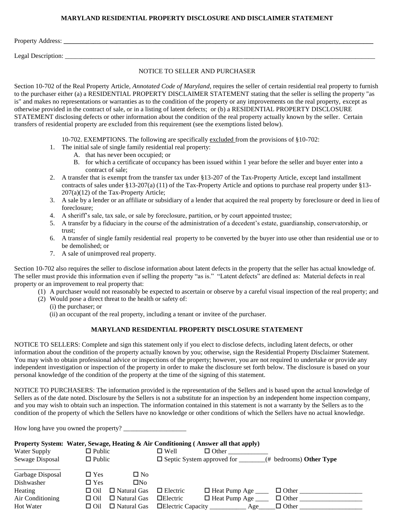#### **MARYLAND RESIDENTIAL PROPERTY DISCLOSURE AND DISCLAIMER STATEMENT**

Property Address: **\_\_\_\_\_\_\_\_\_\_\_\_\_\_\_\_\_\_\_\_\_\_\_\_\_\_\_\_\_\_\_\_\_\_\_\_\_\_\_\_\_\_\_\_\_\_\_\_\_\_\_\_\_\_\_\_\_\_\_\_\_\_\_\_\_\_\_\_\_\_\_\_\_\_\_\_\_\_\_\_\_\_\_\_\_\_\_\_\_\_\_\_\_\_**

Legal Description: \_\_\_\_\_\_\_\_\_\_\_\_\_\_\_\_\_\_\_\_\_\_\_\_\_\_\_\_\_\_\_\_\_\_\_\_\_\_\_\_\_\_\_\_\_\_\_\_\_\_\_\_\_\_\_\_\_\_\_\_\_\_\_\_\_\_\_\_\_\_\_\_\_\_\_\_\_\_\_\_\_\_\_\_\_\_\_\_\_\_\_\_\_\_

## NOTICE TO SELLER AND PURCHASER

Section 10-702 of the Real Property Article, *Annotated Code of Maryland*, requires the seller of certain residential real property to furnish to the purchaser either (a) a RESIDENTIAL PROPERTY DISCLAIMER STATEMENT stating that the seller is selling the property "as is" and makes no representations or warranties as to the condition of the property or any improvements on the real property, except as otherwise provided in the contract of sale, or in a listing of latent defects; or (b) a RESIDENTIAL PROPERTY DISCLOSURE STATEMENT disclosing defects or other information about the condition of the real property actually known by the seller. Certain transfers of residential property are excluded from this requirement (see the exemptions listed below).

10-702. EXEMPTIONS. The following are specifically excluded from the provisions of §10-702:

- 1. The initial sale of single family residential real property:
	- A. that has never been occupied; or
	- B. for which a certificate of occupancy has been issued within 1 year before the seller and buyer enter into a contract of sale;
- 2. A transfer that is exempt from the transfer tax under §13-207 of the Tax-Property Article, except land installment contracts of sales under §13-207(a) (11) of the Tax-Property Article and options to purchase real property under §13- 207(a)(12) of the Tax-Property Article;
- 3. A sale by a lender or an affiliate or subsidiary of a lender that acquired the real property by foreclosure or deed in lieu of foreclosure;
- 4. A sheriff's sale, tax sale, or sale by foreclosure, partition, or by court appointed trustee;
- 5. A transfer by a fiduciary in the course of the administration of a decedent's estate, guardianship, conservatorship, or trust;
- 6. A transfer of single family residential real property to be converted by the buyer into use other than residential use or to be demolished; or
- 7. A sale of unimproved real property.

Section 10-702 also requires the seller to disclose information about latent defects in the property that the seller has actual knowledge of. The seller must provide this information even if selling the property "as is." "Latent defects" are defined as: Material defects in real property or an improvement to real property that:

- (1) A purchaser would not reasonably be expected to ascertain or observe by a careful visual inspection of the real property; and
- (2) Would pose a direct threat to the health or safety of:
	- (i) the purchaser; or
	- (ii) an occupant of the real property, including a tenant or invitee of the purchaser.

#### **MARYLAND RESIDENTIAL PROPERTY DISCLOSURE STATEMENT**

NOTICE TO SELLERS: Complete and sign this statement only if you elect to disclose defects, including latent defects, or other information about the condition of the property actually known by you; otherwise, sign the Residential Property Disclaimer Statement. You may wish to obtain professional advice or inspections of the property; however, you are not required to undertake or provide any independent investigation or inspection of the property in order to make the disclosure set forth below. The disclosure is based on your personal knowledge of the condition of the property at the time of the signing of this statement.

NOTICE TO PURCHASERS: The information provided is the representation of the Sellers and is based upon the actual knowledge of Sellers as of the date noted. Disclosure by the Sellers is not a substitute for an inspection by an independent home inspection company, and you may wish to obtain such an inspection. The information contained in this statement is not a warranty by the Sellers as to the condition of the property of which the Sellers have no knowledge or other conditions of which the Sellers have no actual knowledge.

How long have you owned the property? \_\_\_\_\_\_\_\_\_\_\_\_\_\_\_\_\_\_\_

## **Property System: Water, Sewage, Heating & Air Conditioning ( Answer all that apply)**

| Water Supply     | $\Box$ Public                    | $\Box$ Well<br>$\Box$ Other                                     |
|------------------|----------------------------------|-----------------------------------------------------------------|
| Sewage Disposal  | $\Box$ Public                    | $\Box$ Septic System approved for<br>$($ # bedrooms) Other Type |
| Garbage Disposal | $\Box$ Yes<br>$\square$ No       |                                                                 |
| Dishwasher       | ΠNο<br>$\square$ Yes             |                                                                 |
| Heating          | $\Box$ Natural Gas<br>$\Box$ Oil | $\Box$ Heat Pump Age<br>$\Box$ Other<br>$\Box$ Electric         |
| Air Conditioning | $\Box$ Natural Gas<br>$\Box$ Oil | $\Box$ Heat Pump Age<br>$\Box$ Electric<br>$\Box$ Other         |
| Hot Water        | $\Box$ Natural Gas<br>□ Oil      | $\Box$ Electric Capacity<br>$\Box$ Other<br>Age                 |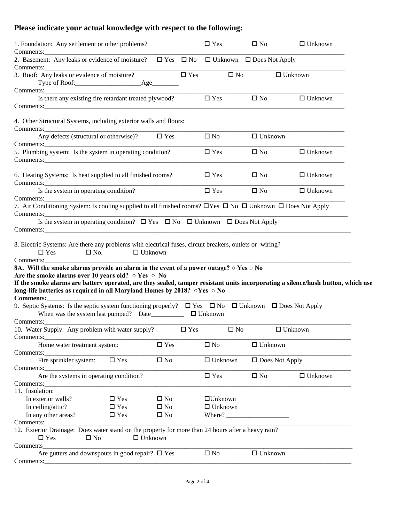# **Please indicate your actual knowledge with respect to the following:**

| 1. Foundation: Any settlement or other problems?                                                                                                                                                                          |                |               |               | $\square$ Yes  | $\square$ No                         | $\Box$ Unknown |
|---------------------------------------------------------------------------------------------------------------------------------------------------------------------------------------------------------------------------|----------------|---------------|---------------|----------------|--------------------------------------|----------------|
| 2. Basement: Any leaks or evidence of moisture? $\square$ Yes $\square$ No                                                                                                                                                |                |               |               |                | $\Box$ Unknown $\Box$ Does Not Apply |                |
| 3. Roof: Any leaks or evidence of moisture?                                                                                                                                                                               |                |               | $\Box$ Yes    |                | $\Box$ No                            | $\Box$ Unknown |
| Is there any existing fire retardant treated plywood?                                                                                                                                                                     |                |               |               | $\Box$ Yes     | $\Box$ No                            | $\Box$ Unknown |
|                                                                                                                                                                                                                           |                |               |               |                |                                      |                |
| 4. Other Structural Systems, including exterior walls and floors:<br>Comments:                                                                                                                                            |                |               |               |                |                                      |                |
| Any defects (structural or otherwise)?<br>Comments:                                                                                                                                                                       |                | $\square$ Yes |               | $\square$ No   | $\Box$ Unknown                       |                |
| 5. Plumbing system: Is the system in operating condition?                                                                                                                                                                 |                |               |               | $\square$ Yes  | $\square$ No                         | $\Box$ Unknown |
| 6. Heating Systems: Is heat supplied to all finished rooms?                                                                                                                                                               |                |               |               | $\square$ Yes  | $\square$ No                         | $\Box$ Unknown |
| Is the system in operating condition?                                                                                                                                                                                     |                |               |               | $\Box$ Yes     | $\square$ No                         | $\Box$ Unknown |
| 7. Air Conditioning System: Is cooling supplied to all finished rooms? DYes D No D Unknown D Does Not Apply                                                                                                               |                |               |               |                |                                      |                |
| Is the system in operating condition? $\square$ Yes $\square$ No $\square$ Unknown $\square$ Does Not Apply                                                                                                               |                |               |               |                |                                      |                |
|                                                                                                                                                                                                                           |                |               |               |                |                                      |                |
| 8. Electric Systems: Are there any problems with electrical fuses, circuit breakers, outlets or wiring?<br>$\square$ No.<br>$\square$ Yes                                                                                 | $\Box$ Unknown |               |               |                |                                      |                |
|                                                                                                                                                                                                                           |                |               |               |                |                                      |                |
| 8A. Will the smoke alarms provide an alarm in the event of a power outage? $\circ$ Yes $\circ$ No                                                                                                                         |                |               |               |                |                                      |                |
| Are the smoke alarms over 10 years old? $\circ$ Yes $\circ$ No                                                                                                                                                            |                |               |               |                |                                      |                |
| If the smoke alarms are battery operated, are they sealed, tamper resistant units incorporating a silence/hush button, which use<br>long-life batteries as required in all Maryland Homes by 2018? $\circ$ Yes $\circ$ No |                |               |               |                |                                      |                |
| Comments: <u>comments</u>                                                                                                                                                                                                 |                |               |               |                |                                      |                |
| 9. Septic Systems: Is the septic system functioning properly? $\Box$ Yes $\Box$ No $\Box$ Unknown $\Box$ Does Not Apply                                                                                                   |                |               |               |                |                                      |                |
| 10. Water Supply: Any problem with water supply?                                                                                                                                                                          |                |               | $\square$ Yes | $\square$ No   |                                      | $\Box$ Unknown |
| Comments:<br>Home water treatment system:                                                                                                                                                                                 |                | $\square$ Yes |               | $\square$ No   | $\Box$ Unknown                       |                |
| Comments:<br>Fire sprinkler system:                                                                                                                                                                                       | $\Box$ Yes     | $\square$ No  |               | $\Box$ Unknown | $\Box$ Does Not Apply                |                |
| Comments:                                                                                                                                                                                                                 |                |               |               |                |                                      |                |
| Are the systems in operating condition?                                                                                                                                                                                   |                |               |               | $\square$ Yes  | $\square$ No                         | $\Box$ Unknown |
| Comments:<br><u> 1980 - Johann Marie Barn, mars a</u><br>11. Insulation:                                                                                                                                                  |                |               |               |                |                                      |                |
| In exterior walls?                                                                                                                                                                                                        | $\square$ Yes  | $\square$ No  |               | $\Box$ Unknown |                                      |                |
| In ceiling/attic?                                                                                                                                                                                                         | $\square$ Yes  | $\square$ No  |               | $\Box$ Unknown |                                      |                |
| In any other areas?                                                                                                                                                                                                       | $\square$ Yes  | $\square$ No  |               |                |                                      |                |
| Comments:                                                                                                                                                                                                                 |                |               |               |                |                                      |                |
| 12. Exterior Drainage: Does water stand on the property for more than 24 hours after a heavy rain?                                                                                                                        |                |               |               |                |                                      |                |
| $\square$ Yes<br>$\square$ No                                                                                                                                                                                             | $\Box$ Unknown |               |               |                |                                      |                |
| Comments<br>Are gutters and downspouts in good repair? $\square$ Yes                                                                                                                                                      |                |               |               | $\square$ No   | $\Box$ Unknown                       |                |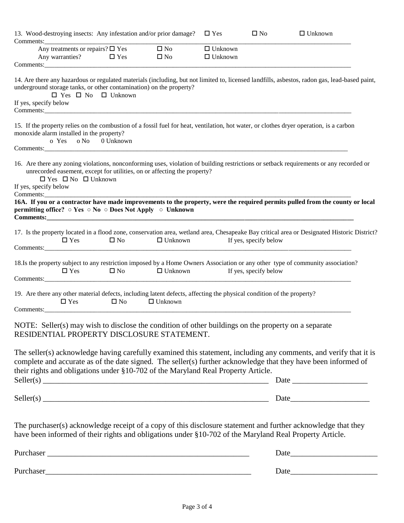| 13. Wood-destroying insects: Any infestation and/or prior damage?<br>Comments:                                                                                                                                                                                                                                                                        |                          |                              | $\square$ Yes                    | $\square$ No          | $\Box$ Unknown |
|-------------------------------------------------------------------------------------------------------------------------------------------------------------------------------------------------------------------------------------------------------------------------------------------------------------------------------------------------------|--------------------------|------------------------------|----------------------------------|-----------------------|----------------|
| Any treatments or repairs? $\square$ Yes<br>$\Box$ Yes<br>Any warranties?                                                                                                                                                                                                                                                                             |                          | $\square$ No<br>$\square$ No | $\Box$ Unknown<br>$\Box$ Unknown |                       |                |
|                                                                                                                                                                                                                                                                                                                                                       |                          |                              |                                  |                       |                |
| 14. Are there any hazardous or regulated materials (including, but not limited to, licensed landfills, asbestos, radon gas, lead-based paint,<br>underground storage tanks, or other contamination) on the property?<br>$\Box$ Yes $\Box$ No $\Box$ Unknown<br>If yes, specify below                                                                  |                          |                              |                                  |                       |                |
| 15. If the property relies on the combustion of a fossil fuel for heat, ventilation, hot water, or clothes dryer operation, is a carbon<br>monoxide alarm installed in the property?<br>o Yes o No                                                                                                                                                    | 0 Unknown                |                              |                                  |                       |                |
| 16. Are there any zoning violations, nonconforming uses, violation of building restrictions or setback requirements or any recorded or<br>unrecorded easement, except for utilities, on or affecting the property?<br>$\Box$ Yes $\Box$ No $\Box$ Unknown<br>If yes, specify below                                                                    |                          |                              |                                  |                       |                |
| 16A. If you or a contractor have made improvements to the property, were the required permits pulled from the county or local<br>permitting office? ○ Yes ○ No ○ Does Not Apply ○ Unknown                                                                                                                                                             |                          |                              |                                  |                       |                |
| 17. Is the property located in a flood zone, conservation area, wetland area, Chesapeake Bay critical area or Designated Historic District?<br>$\Box$ Yes                                                                                                                                                                                             | $\Box$ No $\Box$ Unknown |                              |                                  | If yes, specify below |                |
| 18.Is the property subject to any restriction imposed by a Home Owners Association or any other type of community association?<br>$\Box$ Yes                                                                                                                                                                                                          | $\square$ No             | $\Box$ Unknown               |                                  | If yes, specify below |                |
| 19. Are there any other material defects, including latent defects, affecting the physical condition of the property?<br>$\Box$ Yes                                                                                                                                                                                                                   | $\square$ No             | $\Box$ Unknown               |                                  |                       |                |
| NOTE: Seller(s) may wish to disclose the condition of other buildings on the property on a separate<br>RESIDENTIAL PROPERTY DISCLOSURE STATEMENT.                                                                                                                                                                                                     |                          |                              |                                  |                       |                |
| The seller(s) acknowledge having carefully examined this statement, including any comments, and verify that it is<br>complete and accurate as of the date signed. The seller(s) further acknowledge that they have been informed of<br>their rights and obligations under §10-702 of the Maryland Real Property Article.<br>$Seller(s)$ $Date$ $Date$ |                          |                              |                                  |                       |                |
| $Seller(s)$ $Date$                                                                                                                                                                                                                                                                                                                                    |                          |                              |                                  |                       |                |
| The purchaser(s) acknowledge receipt of a copy of this disclosure statement and further acknowledge that they<br>have been informed of their rights and obligations under §10-702 of the Maryland Real Property Article.                                                                                                                              |                          |                              |                                  |                       |                |
|                                                                                                                                                                                                                                                                                                                                                       |                          |                              |                                  |                       |                |
|                                                                                                                                                                                                                                                                                                                                                       |                          |                              |                                  |                       |                |